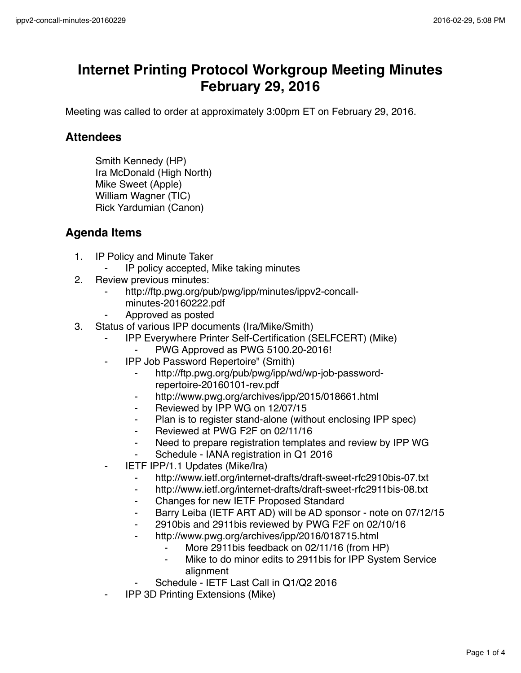## **Internet Printing Protocol Workgroup Meeting Minutes February 29, 2016**

Meeting was called to order at approximately 3:00pm ET on February 29, 2016.

## **Attendees**

Smith Kennedy (HP) Ira McDonald (High North) Mike Sweet (Apple) William Wagner (TIC) Rick Yardumian (Canon)

## **Agenda Items**

- 1. IP Policy and Minute Taker
	- IP policy accepted, Mike taking minutes
- 2. Review previous minutes:
	- http://ftp.pwg.org/pub/pwg/ipp/minutes/ippv2-concallminutes-20160222.pdf
	- ⁃ Approved as posted
- 3. Status of various IPP documents (Ira/Mike/Smith)
	- ⁃ IPP Everywhere Printer Self-Certification (SELFCERT) (Mike)
		- PWG Approved as PWG 5100.20-2016!
	- ⁃ IPP Job Password Repertoire" (Smith)
		- ⁃ http://ftp.pwg.org/pub/pwg/ipp/wd/wp-job-passwordrepertoire-20160101-rev.pdf
		- ⁃ http://www.pwg.org/archives/ipp/2015/018661.html
		- ⁃ Reviewed by IPP WG on 12/07/15
		- Plan is to register stand-alone (without enclosing IPP spec)
		- Reviewed at PWG F2F on 02/11/16
		- ⁃ Need to prepare registration templates and review by IPP WG
		- ⁃ Schedule IANA registration in Q1 2016
	- **IETF IPP/1.1 Updates (Mike/Ira)** 
		- ⁃ http://www.ietf.org/internet-drafts/draft-sweet-rfc2910bis-07.txt
		- ⁃ http://www.ietf.org/internet-drafts/draft-sweet-rfc2911bis-08.txt
		- ⁃ Changes for new IETF Proposed Standard
		- ⁃ Barry Leiba (IETF ART AD) will be AD sponsor note on 07/12/15
		- 2910bis and 2911bis reviewed by PWG F2F on 02/10/16
		- http://www.pwg.org/archives/ipp/2016/018715.html
			- More 2911bis feedback on 02/11/16 (from HP)
			- Mike to do minor edits to 2911 bis for IPP System Service alignment
		- Schedule IETF Last Call in Q1/Q2 2016
	- **IPP 3D Printing Extensions (Mike)**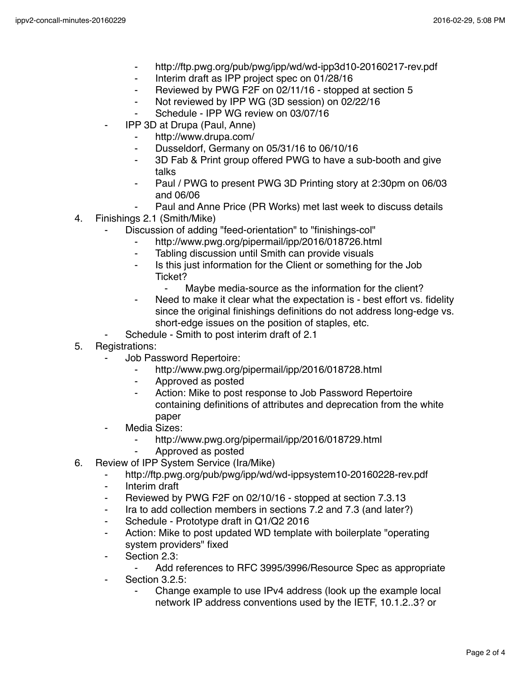- ⁃ http://ftp.pwg.org/pub/pwg/ipp/wd/wd-ipp3d10-20160217-rev.pdf
- ⁃ Interim draft as IPP project spec on 01/28/16
- Reviewed by PWG F2F on 02/11/16 stopped at section 5
- ⁃ Not reviewed by IPP WG (3D session) on 02/22/16
- Schedule IPP WG review on 03/07/16
- ⁃ IPP 3D at Drupa (Paul, Anne)
	- http://www.drupa.com/
	- ⁃ Dusseldorf, Germany on 05/31/16 to 06/10/16
	- ⁃ 3D Fab & Print group offered PWG to have a sub-booth and give talks
	- Paul / PWG to present PWG 3D Printing story at 2:30pm on 06/03 and 06/06
	- Paul and Anne Price (PR Works) met last week to discuss details
- 4. Finishings 2.1 (Smith/Mike)
	- Discussion of adding "feed-orientation" to "finishings-col"
		- http://www.pwg.org/pipermail/ipp/2016/018726.html
		- ⁃ Tabling discussion until Smith can provide visuals
		- Is this just information for the Client or something for the Job Ticket?
			- Maybe media-source as the information for the client?
		- Need to make it clear what the expectation is best effort vs. fidelity since the original finishings definitions do not address long-edge vs. short-edge issues on the position of staples, etc.
	- Schedule Smith to post interim draft of 2.1
- 5. Registrations:
	- **Job Password Repertoire:** 
		- ⁃ http://www.pwg.org/pipermail/ipp/2016/018728.html
		- ⁃ Approved as posted
		- Action: Mike to post response to Job Password Repertoire containing definitions of attributes and deprecation from the white paper
	- Media Sizes:
		- http://www.pwg.org/pipermail/ipp/2016/018729.html
		- ⁃ Approved as posted
- 6. Review of IPP System Service (Ira/Mike)
	- http://ftp.pwg.org/pub/pwg/ipp/wd/wd-ippsystem10-20160228-rev.pdf
	- ⁃ Interim draft
	- Reviewed by PWG F2F on 02/10/16 stopped at section 7.3.13
	- Ira to add collection members in sections 7.2 and 7.3 (and later?)
	- ⁃ Schedule Prototype draft in Q1/Q2 2016
	- ⁃ Action: Mike to post updated WD template with boilerplate "operating system providers" fixed
	- Section 2.3:
		- Add references to RFC 3995/3996/Resource Spec as appropriate
	- ⁃ Section 3.2.5:
		- Change example to use IPv4 address (look up the example local network IP address conventions used by the IETF, 10.1.2..3? or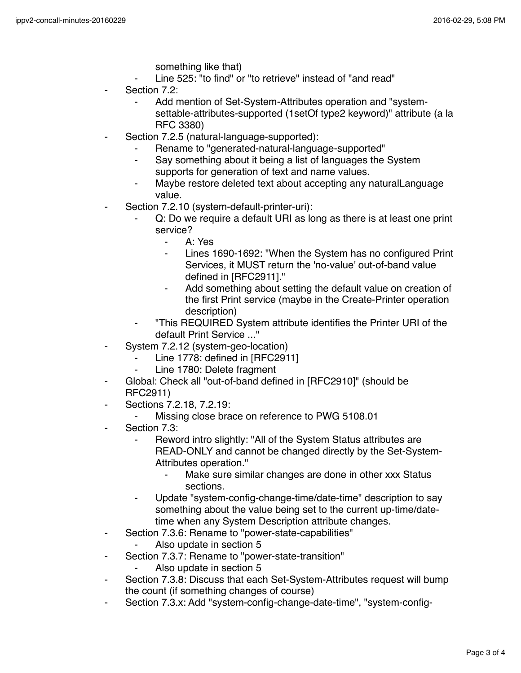- something like that)
- Line 525: "to find" or "to retrieve" instead of "and read"
- Section 7.2:
	- Add mention of Set-System-Attributes operation and "systemsettable-attributes-supported (1setOf type2 keyword)" attribute (a la RFC 3380)
- Section 7.2.5 (natural-language-supported):
	- Rename to "generated-natural-language-supported"
	- Say something about it being a list of languages the System supports for generation of text and name values.
	- Maybe restore deleted text about accepting any naturalLanguage value.
- Section 7.2.10 (system-default-printer-uri):
	- Q: Do we require a default URI as long as there is at least one print service?
		- ⁃ A: Yes
		- Lines 1690-1692: "When the System has no configured Print Services, it MUST return the 'no-value' out-of-band value defined in [RFC2911]."
		- ⁃ Add something about setting the default value on creation of the first Print service (maybe in the Create-Printer operation description)
	- ⁃ "This REQUIRED System attribute identifies the Printer URI of the default Print Service ..."
- ⁃ System 7.2.12 (system-geo-location)
	- Line 1778: defined in [RFC2911]
	- ⁃ Line 1780: Delete fragment
- Global: Check all "out-of-band defined in [RFC2910]" (should be RFC2911)
- Sections 7.2.18, 7.2.19:
	- Missing close brace on reference to PWG 5108.01
- Section 7.3:
	- Reword intro slightly: "All of the System Status attributes are READ-ONLY and cannot be changed directly by the Set-System-Attributes operation."
		- Make sure similar changes are done in other xxx Status sections.
	- Update "system-config-change-time/date-time" description to say something about the value being set to the current up-time/datetime when any System Description attribute changes.
- ⁃ Section 7.3.6: Rename to "power-state-capabilities"
	- Also update in section 5
- Section 7.3.7: Rename to "power-state-transition"
	- ⁃ Also update in section 5
- ⁃ Section 7.3.8: Discuss that each Set-System-Attributes request will bump the count (if something changes of course)
- ⁃ Section 7.3.x: Add "system-config-change-date-time", "system-config-